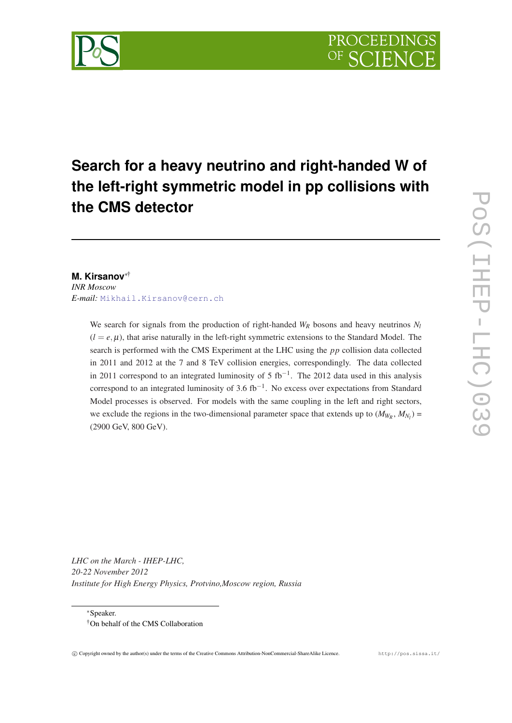

# **Search for a heavy neutrino and right-handed W of the left-right symmetric model in pp collisions with the CMS detector**

# **M. Kirsanov**∗† *INR Moscow E-mail:* [Mikhail.Kirsanov@cern.ch](mailto:Mikhail.Kirsanov@cern.ch)

We search for signals from the production of right-handed  $W_R$  bosons and heavy neutrinos  $N_I$  $(l = e, \mu)$ , that arise naturally in the left-right symmetric extensions to the Standard Model. The search is performed with the CMS Experiment at the LHC using the *pp* collision data collected in 2011 and 2012 at the 7 and 8 TeV collision energies, correspondingly. The data collected in 2011 correspond to an integrated luminosity of 5 fb<sup>-1</sup>. The 2012 data used in this analysis correspond to an integrated luminosity of 3.6 fb<sup>-1</sup>. No excess over expectations from Standard Model processes is observed. For models with the same coupling in the left and right sectors, we exclude the regions in the two-dimensional parameter space that extends up to  $(M_{W_R}, M_{N_l})$  = (2900 GeV, 800 GeV).

*LHC on the March - IHEP-LHC, 20-22 November 2012 Institute for High Energy Physics, Protvino,Moscow region, Russia*

<sup>∗</sup>Speaker. †On behalf of the CMS Collaboration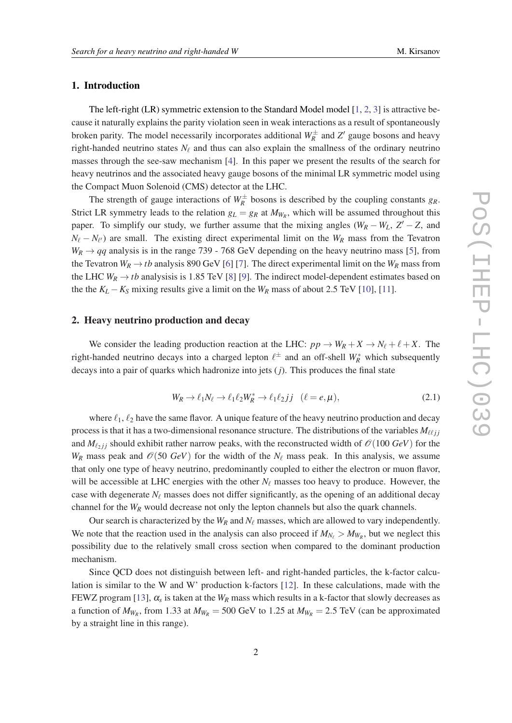## 1. Introduction

The left-right (LR) symmetric extension to the Standard Model model  $[1, 2, 3]$  $[1, 2, 3]$  $[1, 2, 3]$  $[1, 2, 3]$  $[1, 2, 3]$  $[1, 2, 3]$  is attractive because it naturally explains the parity violation seen in weak interactions as a result of spontaneously broken parity. The model necessarily incorporates additional  $W_R^{\pm}$  and  $Z'$  gauge bosons and heavy right-handed neutrino states  $N_\ell$  and thus can also explain the smallness of the ordinary neutrino masses through the see-saw mechanism [\[4\]](#page-10-0). In this paper we present the results of the search for heavy neutrinos and the associated heavy gauge bosons of the minimal LR symmetric model using the Compact Muon Solenoid (CMS) detector at the LHC.

The strength of gauge interactions of  $W_R^{\pm}$  bosons is described by the coupling constants  $g_R$ . Strict LR symmetry leads to the relation  $g_L = g_R$  at  $M_{W_R}$ , which will be assumed throughout this paper. To simplify our study, we further assume that the mixing angles  $(W_R - W_L, Z' - Z,$  and  $N_{\ell} - N_{\ell'}$  are small. The existing direct experimental limit on the  $W_R$  mass from the Tevatron  $W_R \rightarrow qq$  analysis is in the range 739 - 768 GeV depending on the heavy neutrino mass [[5](#page-10-0)], from the Tevatron  $W_R \to tb$  analysis 890 GeV [[6\]](#page-10-0) [[7](#page-10-0)]. The direct experimental limit on the  $W_R$  mass from the LHC  $W_R \rightarrow tb$  analysisis is 1.[8](#page-10-0)5 TeV [8] [\[9\]](#page-10-0). The indirect model-dependent estimates based on the the  $K_L - K_S$  mixing results give a limit on the  $W_R$  mass of about 2.5 TeV [\[10](#page-10-0)], [\[11](#page-10-0)].

#### 2. Heavy neutrino production and decay

We consider the leading production reaction at the LHC:  $pp \rightarrow W_R + X \rightarrow N_\ell + \ell + X$ . The right-handed neutrino decays into a charged lepton  $\ell^{\pm}$  and an off-shell  $W_R^*$  which subsequently decays into a pair of quarks which hadronize into jets (*j*). This produces the final state

$$
W_R \to \ell_1 N_\ell \to \ell_1 \ell_2 W_R^* \to \ell_1 \ell_2 j j \quad (\ell = e, \mu), \tag{2.1}
$$

where  $\ell_1, \ell_2$  have the same flavor. A unique feature of the heavy neutrino production and decay process is that it has a two-dimensional resonance structure. The distributions of the variables  $M_{\ell i j}$ and  $M_{\ell_2}$  *j* should exhibit rather narrow peaks, with the reconstructed width of  $\mathcal{O}(100 \text{ GeV})$  for the  $W_R$  mass peak and  $\mathcal{O}(50 \text{ GeV})$  for the width of the  $N_\ell$  mass peak. In this analysis, we assume that only one type of heavy neutrino, predominantly coupled to either the electron or muon flavor, will be accessible at LHC energies with the other  $N_\ell$  masses too heavy to produce. However, the case with degenerate  $N_\ell$  masses does not differ significantly, as the opening of an additional decay channel for the *W<sup>R</sup>* would decrease not only the lepton channels but also the quark channels.

Our search is characterized by the  $W_R$  and  $N_\ell$  masses, which are allowed to vary independently. We note that the reaction used in the analysis can also proceed if  $M_{N_\ell} > M_{W_R}$ , but we neglect this possibility due to the relatively small cross section when compared to the dominant production mechanism.

Since QCD does not distinguish between left- and right-handed particles, the k-factor calculation is similar to the W and W' production k-factors [\[12](#page-10-0)]. In these calculations, made with the FEWZ program [[13](#page-10-0)],  $\alpha_s$  is taken at the  $W_R$  mass which results in a k-factor that slowly decreases as a function of  $M_{W_R}$ , from 1.33 at  $M_{W_R} = 500$  GeV to 1.25 at  $M_{W_R} = 2.5$  TeV (can be approximated by a straight line in this range).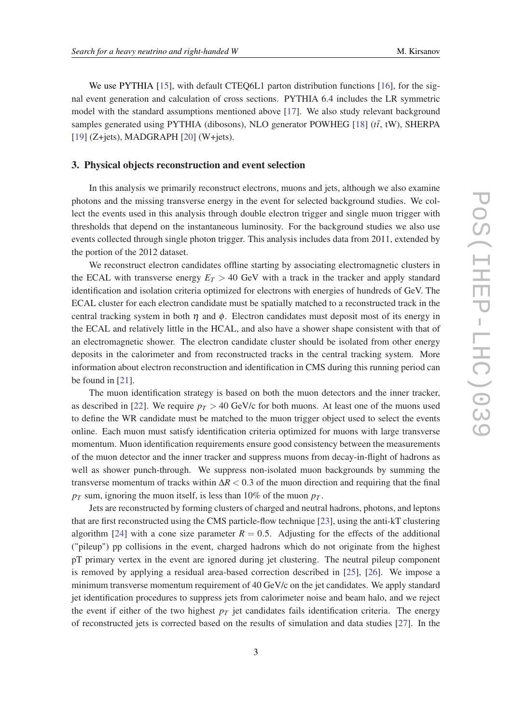We use PYTHIA [[15](#page-10-0)], with default CTEQ6L1 parton distribution functions [[16\]](#page-10-0), for the signal event generation and calculation of cross sections. PYTHIA 6.4 includes the LR symmetric model with the standard assumptions mentioned above [[17\]](#page-10-0). We also study relevant background samples generated using PYTHIA (dibosons), NLO generator POWHEG  $[18]$  $[18]$  ( $t\bar{t}$ , tW), SHERPA [[19\]](#page-10-0) (Z+jets), MADGRAPH [[20\]](#page-10-0) (W+jets).

#### 3. Physical objects reconstruction and event selection

In this analysis we primarily reconstruct electrons, muons and jets, although we also examine photons and the missing transverse energy in the event for selected background studies. We collect the events used in this analysis through double electron trigger and single muon trigger with thresholds that depend on the instantaneous luminosity. For the background studies we also use events collected through single photon trigger. This analysis includes data from 2011, extended by the portion of the 2012 dataset.

We reconstruct electron candidates offline starting by associating electromagnetic clusters in the ECAL with transverse energy  $E_T > 40$  GeV with a track in the tracker and apply standard identification and isolation criteria optimized for electrons with energies of hundreds of GeV. The ECAL cluster for each electron candidate must be spatially matched to a reconstructed track in the central tracking system in both  $\eta$  and  $\phi$ . Electron candidates must deposit most of its energy in the ECAL and relatively little in the HCAL, and also have a shower shape consistent with that of an electromagnetic shower. The electron candidate cluster should be isolated from other energy deposits in the calorimeter and from reconstructed tracks in the central tracking system. More information about electron reconstruction and identification in CMS during this running period can be found in [\[21](#page-10-0)].

The muon identification strategy is based on both the muon detectors and the inner tracker, as described in [[22\]](#page-10-0). We require  $p_T > 40$  GeV/c for both muons. At least one of the muons used to define the WR candidate must be matched to the muon trigger object used to select the events online. Each muon must satisfy identification criteria optimized for muons with large transverse momentum. Muon identification requirements ensure good consistency between the measurements of the muon detector and the inner tracker and suppress muons from decay-in-flight of hadrons as well as shower punch-through. We suppress non-isolated muon backgrounds by summing the transverse momentum of tracks within  $\Delta R < 0.3$  of the muon direction and requiring that the final  $p_T$  sum, ignoring the muon itself, is less than 10% of the muon  $p_T$ .

Jets are reconstructed by forming clusters of charged and neutral hadrons, photons, and leptons that are first reconstructed using the CMS particle-flow technique [[23\]](#page-10-0), using the anti-kT clustering algorithm [\[24](#page-11-0)] with a cone size parameter  $R = 0.5$ . Adjusting for the effects of the additional ("pileup") pp collisions in the event, charged hadrons which do not originate from the highest pT primary vertex in the event are ignored during jet clustering. The neutral pileup component is removed by applying a residual area-based correction described in [[25\]](#page-11-0), [\[26](#page-11-0)]. We impose a minimum transverse momentum requirement of 40 GeV/c on the jet candidates. We apply standard jet identification procedures to suppress jets from calorimeter noise and beam halo, and we reject the event if either of the two highest  $p_T$  jet candidates fails identification criteria. The energy of reconstructed jets is corrected based on the results of simulation and data studies [\[27](#page-11-0)]. In the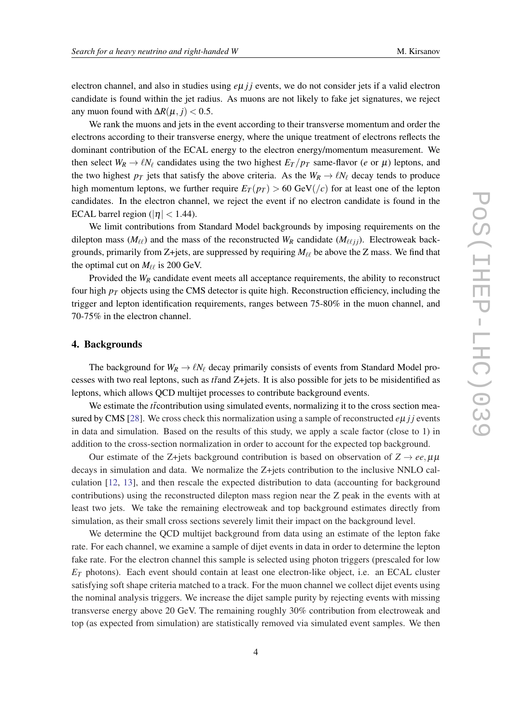electron channel, and also in studies using  $e\mu j j$  events, we do not consider jets if a valid electron candidate is found within the jet radius. As muons are not likely to fake jet signatures, we reject any muon found with  $\Delta R(\mu, j) < 0.5$ .

We rank the muons and jets in the event according to their transverse momentum and order the electrons according to their transverse energy, where the unique treatment of electrons reflects the dominant contribution of the ECAL energy to the electron energy/momentum measurement. We then select  $W_R \to \ell N_\ell$  candidates using the two highest  $E_T/p_T$  same-flavor (*e* or  $\mu$ ) leptons, and the two highest  $p_T$  jets that satisfy the above criteria. As the  $W_R \to \ell N_\ell$  decay tends to produce high momentum leptons, we further require  $E_T(p_T) > 60$  GeV(/*c*) for at least one of the lepton candidates. In the electron channel, we reject the event if no electron candidate is found in the ECAL barrel region ( $|\eta|$  < 1.44).

We limit contributions from Standard Model backgrounds by imposing requirements on the dilepton mass ( $M_{\ell\ell}$ ) and the mass of the reconstructed  $W_R$  candidate ( $M_{\ell\ell}$ <sub>*i*j</sub>). Electroweak backgrounds, primarily from Z+jets, are suppressed by requiring  $M_{\ell\ell}$  be above the Z mass. We find that the optimal cut on  $M_{\ell\ell}$  is 200 GeV.

Provided the  $W_R$  candidate event meets all acceptance requirements, the ability to reconstruct four high  $p_T$  objects using the CMS detector is quite high. Reconstruction efficiency, including the trigger and lepton identification requirements, ranges between 75-80% in the muon channel, and 70-75% in the electron channel.

#### 4. Backgrounds

The background for  $W_R \to \ell N_\ell$  decay primarily consists of events from Standard Model processes with two real leptons, such as  $t\bar{t}$  and Z+jets. It is also possible for jets to be misidentified as leptons, which allows QCD multijet processes to contribute background events.

We estimate the *t*tontribution using simulated events, normalizing it to the cross section mea-sured by CMS [\[28](#page-11-0)]. We cross check this normalization using a sample of reconstructed *e*µ *j* j events in data and simulation. Based on the results of this study, we apply a scale factor (close to 1) in addition to the cross-section normalization in order to account for the expected top background.

Our estimate of the Z+jets background contribution is based on observation of  $Z \rightarrow ee, \mu\mu$ decays in simulation and data. We normalize the Z+jets contribution to the inclusive NNLO calculation [[12,](#page-10-0) [13](#page-10-0)], and then rescale the expected distribution to data (accounting for background contributions) using the reconstructed dilepton mass region near the Z peak in the events with at least two jets. We take the remaining electroweak and top background estimates directly from simulation, as their small cross sections severely limit their impact on the background level.

We determine the QCD multijet background from data using an estimate of the lepton fake rate. For each channel, we examine a sample of dijet events in data in order to determine the lepton fake rate. For the electron channel this sample is selected using photon triggers (prescaled for low  $E_T$  photons). Each event should contain at least one electron-like object, i.e. an ECAL cluster satisfying soft shape criteria matched to a track. For the muon channel we collect dijet events using the nominal analysis triggers. We increase the dijet sample purity by rejecting events with missing transverse energy above 20 GeV. The remaining roughly 30% contribution from electroweak and top (as expected from simulation) are statistically removed via simulated event samples. We then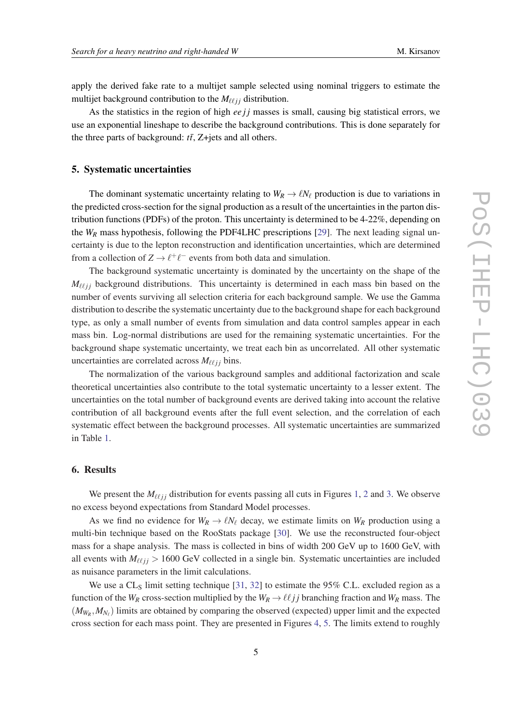apply the derived fake rate to a multijet sample selected using nominal triggers to estimate the multijet background contribution to the  $M_{\ell\ell\, ij}$  distribution.

As the statistics in the region of high  $eejj$  masses is small, causing big statistical errors, we use an exponential lineshape to describe the background contributions. This is done separately for the three parts of background:  $t\bar{t}$ , Z+jets and all others.

### 5. Systematic uncertainties

The dominant systematic uncertainty relating to  $W_R \rightarrow \ell N_\ell$  production is due to variations in the predicted cross-section for the signal production as a result of the uncertainties in the parton distribution functions (PDFs) of the proton. This uncertainty is determined to be 4-22%, depending on the *W<sup>R</sup>* mass hypothesis, following the PDF4LHC prescriptions [\[29](#page-11-0)]. The next leading signal uncertainty is due to the lepton reconstruction and identification uncertainties, which are determined from a collection of  $Z \to \ell^+ \ell^-$  events from both data and simulation.

The background systematic uncertainty is dominated by the uncertainty on the shape of the  $M_{\ell\ell i j}$  background distributions. This uncertainty is determined in each mass bin based on the number of events surviving all selection criteria for each background sample. We use the Gamma distribution to describe the systematic uncertainty due to the background shape for each background type, as only a small number of events from simulation and data control samples appear in each mass bin. Log-normal distributions are used for the remaining systematic uncertainties. For the background shape systematic uncertainty, we treat each bin as uncorrelated. All other systematic uncertainties are correlated across  $M_{\ell \ell i j}$  bins.

The normalization of the various background samples and additional factorization and scale theoretical uncertainties also contribute to the total systematic uncertainty to a lesser extent. The uncertainties on the total number of background events are derived taking into account the relative contribution of all background events after the full event selection, and the correlation of each systematic effect between the background processes. All systematic uncertainties are summarized in Table [1.](#page-5-0)

#### 6. Results

We present the  $M_{\ell\ell j j}$  distribution for events passing all cuts in Figures [1](#page-6-0), [2](#page-7-0) and [3.](#page-7-0) We observe no excess beyond expectations from Standard Model processes.

As we find no evidence for  $W_R \to \ell N_\ell$  decay, we estimate limits on  $W_R$  production using a multi-bin technique based on the RooStats package [\[30](#page-11-0)]. We use the reconstructed four-object mass for a shape analysis. The mass is collected in bins of width 200 GeV up to 1600 GeV, with all events with  $M_{\ell\ell j j} > 1600$  GeV collected in a single bin. Systematic uncertainties are included as nuisance parameters in the limit calculations.

We use a CL<sub>S</sub> limit setting technique [[31,](#page-11-0) [32\]](#page-11-0) to estimate the  $95\%$  C.L. excluded region as a function of the  $W_R$  cross-section multiplied by the  $W_R \to \ell \ell j j$  branching fraction and  $W_R$  mass. The  $(M_{W_R}, M_{N_\ell})$  limits are obtained by comparing the observed (expected) upper limit and the expected cross section for each mass point. They are presented in Figures [4,](#page-8-0) [5.](#page-8-0) The limits extend to roughly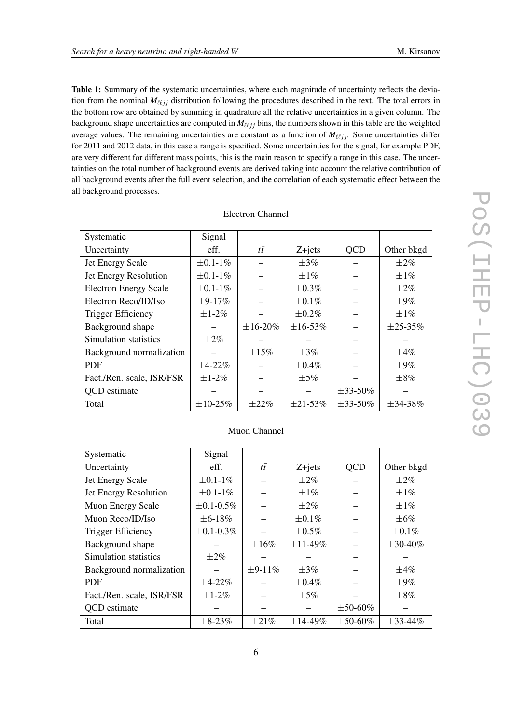<span id="page-5-0"></span>Table 1: Summary of the systematic uncertainties, where each magnitude of uncertainty reflects the deviation from the nominal  $M_{\ell\ell ij}$  distribution following the procedures described in the text. The total errors in the bottom row are obtained by summing in quadrature all the relative uncertainties in a given column. The background shape uncertainties are computed in  $M_{\ell\ell j j}$  bins, the numbers shown in this table are the weighted average values. The remaining uncertainties are constant as a function of  $M_{\ell\ell jj}$ . Some uncertainties differ for 2011 and 2012 data, in this case a range is specified. Some uncertainties for the signal, for example PDF, are very different for different mass points, this is the main reason to specify a range in this case. The uncertainties on the total number of background events are derived taking into account the relative contribution of all background events after the full event selection, and the correlation of each systematic effect between the all background processes.

| Systematic                   | Signal          |                 |                 |                 |                 |
|------------------------------|-----------------|-----------------|-----------------|-----------------|-----------------|
| Uncertainty                  | eff.            | $t\bar{t}$      | $Z + jets$      | <b>QCD</b>      | Other bkgd      |
| Jet Energy Scale             | $\pm 0.1 - 1\%$ |                 | $\pm 3\%$       |                 | $\pm 2\%$       |
| Jet Energy Resolution        | $\pm 0.1 - 1\%$ |                 | $\pm 1\%$       |                 | $\pm 1\%$       |
| <b>Electron Energy Scale</b> | $\pm 0.1 - 1\%$ |                 | $\pm 0.3\%$     |                 | $\pm 2\%$       |
| Electron Reco/ID/Iso         | $\pm$ 9-17%     |                 | $\pm 0.1\%$     |                 | $\pm 9\%$       |
| <b>Trigger Efficiency</b>    | $\pm 1-2\%$     |                 | $\pm 0.2\%$     |                 | $\pm 1\%$       |
| Background shape             |                 | $\pm 16 - 20\%$ | $\pm 16 - 53\%$ |                 | $\pm 25 - 35\%$ |
| Simulation statistics        | $\pm 2\%$       |                 |                 |                 |                 |
| Background normalization     |                 | $\pm 15\%$      | $\pm 3\%$       |                 | $\pm 4\%$       |
| <b>PDF</b>                   | $\pm 4 - 22\%$  |                 | $\pm 0.4\%$     |                 | $\pm 9\%$       |
| Fact./Ren. scale, ISR/FSR    | $\pm 1-2\%$     |                 | $\pm$ 5%        |                 | $\pm 8\%$       |
| <b>QCD</b> estimate          |                 |                 |                 | $\pm$ 33-50%    |                 |
| Total                        | $\pm 10 - 25%$  | $\pm 22\%$      | $\pm 21 - 53\%$ | $\pm 33 - 50\%$ | $\pm 34 - 38\%$ |

| <b>Electron Channel</b> |  |
|-------------------------|--|
|-------------------------|--|

| Systematic                | Signal            |                |                 |                 |                 |
|---------------------------|-------------------|----------------|-----------------|-----------------|-----------------|
| Uncertainty               | eff.              | $t\bar{t}$     | $Z + jets$      | <b>QCD</b>      | Other bkgd      |
| Jet Energy Scale          | $\pm 0.1 - 1\%$   |                | $\pm 2\%$       |                 | $\pm 2\%$       |
| Jet Energy Resolution     | $\pm 0.1 - 1\%$   |                | $\pm 1\%$       |                 | $\pm 1\%$       |
| Muon Energy Scale         | $\pm 0.1 - 0.5\%$ |                | $\pm 2\%$       |                 | $\pm 1\%$       |
| Muon Reco/ID/Iso          | $\pm 6 - 18\%$    |                | $\pm 0.1\%$     |                 | $\pm 6\%$       |
| Trigger Efficiency        | $\pm 0.1 - 0.3\%$ |                | $\pm 0.5\%$     |                 | $\pm 0.1\%$     |
| Background shape          |                   | $\pm 16\%$     | $\pm 11 - 49\%$ |                 | $\pm 30 - 40\%$ |
| Simulation statistics     | $+2\%$            |                |                 |                 |                 |
| Background normalization  |                   | $\pm 9 - 11\%$ | $\pm 3\%$       |                 | $\pm 4\%$       |
| <b>PDF</b>                | $\pm 4 - 22\%$    |                | $\pm 0.4\%$     |                 | $\pm 9\%$       |
| Fact./Ren. scale, ISR/FSR | $\pm 1 - 2\%$     |                | $\pm 5\%$       |                 | $\pm 8\%$       |
| <b>QCD</b> estimate       |                   |                |                 | $\pm 50 - 60\%$ |                 |
| Total                     | $\pm 8 - 23\%$    | $\pm 21\%$     | $\pm 14 - 49\%$ | $\pm 50 - 60\%$ | $\pm$ 33-44%    |

#### Muon Channel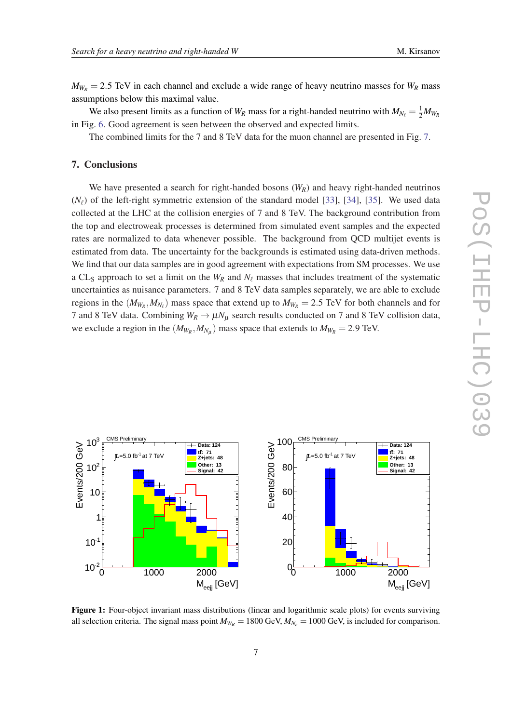<span id="page-6-0"></span> $M_{W_R}$  = 2.5 TeV in each channel and exclude a wide range of heavy neutrino masses for  $W_R$  mass assumptions below this maximal value.

We also present limits as a function of  $W_R$  mass for a right-handed neutrino with  $M_{N_\ell} = \frac{1}{2} M_{W_R}$ in Fig. [6](#page-9-0). Good agreement is seen between the observed and expected limits.

The combined limits for the 7 and 8 TeV data for the muon channel are presented in Fig. [7](#page-9-0).

## 7. Conclusions

We have presented a search for right-handed bosons  $(W_R)$  and heavy right-handed neutrinos  $(N_{\ell})$  of the left-right symmetric extension of the standard model [\[33](#page-11-0)], [\[34](#page-11-0)], [\[35](#page-11-0)]. We used data collected at the LHC at the collision energies of 7 and 8 TeV. The background contribution from the top and electroweak processes is determined from simulated event samples and the expected rates are normalized to data whenever possible. The background from QCD multijet events is estimated from data. The uncertainty for the backgrounds is estimated using data-driven methods. We find that our data samples are in good agreement with expectations from SM processes. We use a CL<sub>S</sub> approach to set a limit on the  $W_R$  and  $N_\ell$  masses that includes treatment of the systematic uncertainties as nuisance parameters. 7 and 8 TeV data samples separately, we are able to exclude regions in the  $(M_{W_R}, M_{N_\ell})$  mass space that extend up to  $M_{W_R} = 2.5$  TeV for both channels and for 7 and 8 TeV data. Combining  $W_R \to \mu N_\mu$  search results conducted on 7 and 8 TeV collision data, we exclude a region in the  $(M_{W_R}, M_{N_\mu})$  mass space that extends to  $M_{W_R} = 2.9$  TeV.



Figure 1: Four-object invariant mass distributions (linear and logarithmic scale plots) for events surviving all selection criteria. The signal mass point  $M_{W_R} = 1800 \text{ GeV}, M_{N_e} = 1000 \text{ GeV},$  is included for comparison.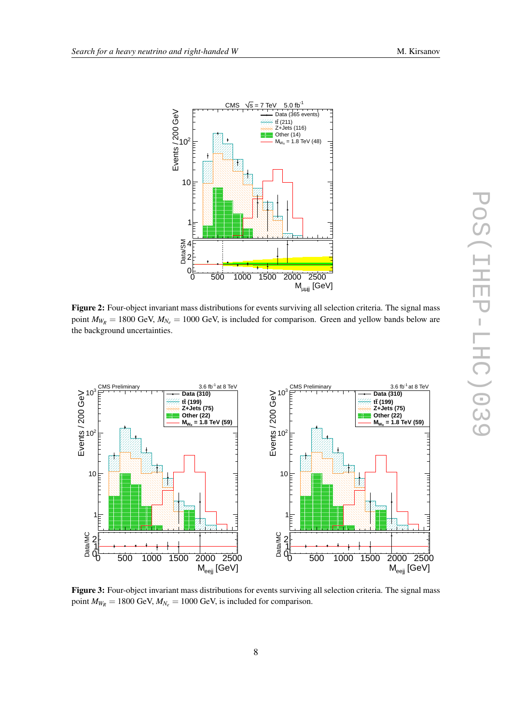<span id="page-7-0"></span>

Figure 2: Four-object invariant mass distributions for events surviving all selection criteria. The signal mass point  $M_{W_R}$  = 1800 GeV,  $M_{N_e}$  = 1000 GeV, is included for comparison. Green and yellow bands below are the background uncertainties.



Figure 3: Four-object invariant mass distributions for events surviving all selection criteria. The signal mass point  $M_{W_R} = 1800 \text{ GeV}, M_{N_e} = 1000 \text{ GeV},$  is included for comparison.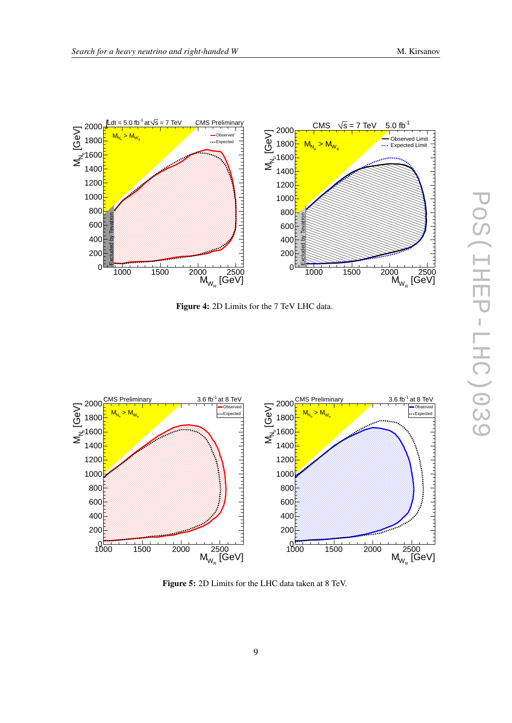<span id="page-8-0"></span>



Figure 4: 2D Limits for the 7 TeV LHC data.



Figure 5: 2D Limits for the LHC data taken at 8 TeV.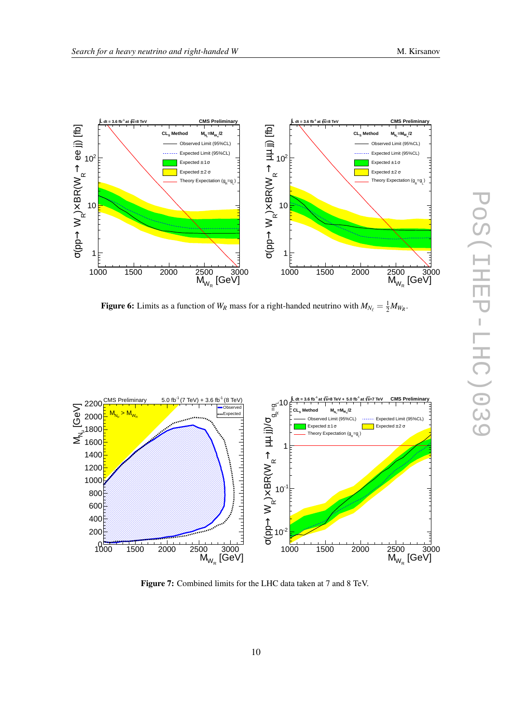<span id="page-9-0"></span>

Figure 6: Limits as a function of  $W_R$  mass for a right-handed neutrino with  $M_{N_\ell} = \frac{1}{2} M_{W_R}$ .



Figure 7: Combined limits for the LHC data taken at 7 and 8 TeV.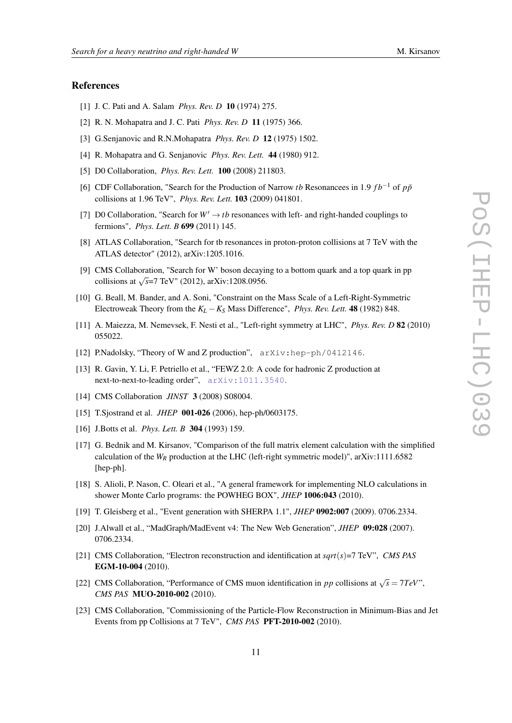### <span id="page-10-0"></span>References

- [1] J. C. Pati and A. Salam *Phys. Rev. D* 10 (1974) 275.
- [2] R. N. Mohapatra and J. C. Pati *Phys. Rev. D* 11 (1975) 366.
- [3] G.Senjanovic and R.N.Mohapatra *Phys. Rev. D* 12 (1975) 1502.
- [4] R. Mohapatra and G. Senjanovic *Phys. Rev. Lett.* 44 (1980) 912.
- [5] D0 Collaboration, *Phys. Rev. Lett.* 100 (2008) 211803.
- [6] CDF Collaboration, "Search for the Production of Narrow *tb* Resonancees in 1.9  $fb^{-1}$  of  $p\bar{p}$ collisions at 1.96 TeV", *Phys. Rev. Lett.* 103 (2009) 041801.
- [7] D0 Collaboration, "Search for  $W' \rightarrow tb$  resonances with left- and right-handed couplings to fermions", *Phys. Lett. B* 699 (2011) 145.
- [8] ATLAS Collaboration, "Search for tb resonances in proton-proton collisions at 7 TeV with the ATLAS detector" (2012), arXiv:1205.1016.
- [9] CMS Collaboration, "Search for W' boson decaying to a bottom quark and a top quark in pp collisions at  $\sqrt{s}$ =7 TeV" (2012), arXiv:1208.0956.
- [10] G. Beall, M. Bander, and A. Soni, "Constraint on the Mass Scale of a Left-Right-Symmetric Electroweak Theory from the  $K_L - K_S$  Mass Difference", *Phys. Rev. Lett.* 48 (1982) 848.
- [11] A. Maiezza, M. Nemevsek, F. Nesti et al., "Left-right symmetry at LHC", *Phys. Rev. D* 82 (2010) 055022.
- [12] P.Nadolsky, "Theory of W and Z production",  $arXiv:hep-ph/0412146$ .
- [13] R. Gavin, Y. Li, F. Petriello et al., "FEWZ 2.0: A code for hadronic Z production at next-to-next-to-leading order", [arXiv:1011.3540](http://www.arXiv.org/abs/1011.3540).
- [14] CMS Collaboration *JINST* 3 (2008) S08004.
- [15] T.Sjostrand et al. *JHEP* 001-026 (2006), hep-ph/0603175.
- [16] J.Botts et al. *Phys. Lett. B* 304 (1993) 159.
- [17] G. Bednik and M. Kirsanov, "Comparison of the full matrix element calculation with the simplified calculation of the  $W_R$  production at the LHC (left-right symmetric model)", arXiv:1111.6582 [hep-ph].
- [18] S. Alioli, P. Nason, C. Oleari et al., "A general framework for implementing NLO calculations in shower Monte Carlo programs: the POWHEG BOX", *JHEP* 1006:043 (2010).
- [19] T. Gleisberg et al., "Event generation with SHERPA 1.1", *JHEP* 0902:007 (2009). 0706.2334.
- [20] J.Alwall et al., "MadGraph/MadEvent v4: The New Web Generation", *JHEP* 09:028 (2007). 0706.2334.
- [21] CMS Collaboration, "Electron reconstruction and identification at *sqrt*(*s*)=7 TeV", *CMS PAS* EGM-10-004 (2010).
- [22] CMS Collaboration, "Performance of CMS muon identification in *pp* collisions at  $\sqrt{s} = 7 TeV$ ", *CMS PAS* MUO-2010-002 (2010).
- [23] CMS Collaboration, "Commissioning of the Particle-Flow Reconstruction in Minimum-Bias and Jet Events from pp Collisions at 7 TeV", *CMS PAS* PFT-2010-002 (2010).